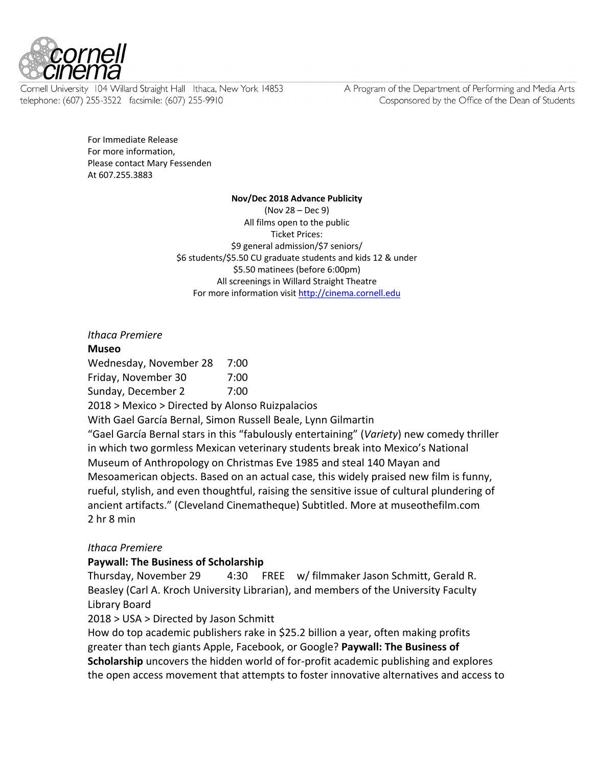

Cornell University 104 Willard Straight Hall Ithaca, New York 14853 telephone: (607) 255-3522 facsimile: (607) 255-9910

A Program of the Department of Performing and Media Arts Cosponsored by the Office of the Dean of Students

For Immediate Release For more information, Please contact Mary Fessenden At 607.255.3883

#### **Nov/Dec 2018 Advance Publicity**

(Nov 28 – Dec 9) All films open to the public Ticket Prices: \$9 general admission/\$7 seniors/ \$6 students/\$5.50 CU graduate students and kids 12 & under \$5.50 matinees (before 6:00pm) All screenings in Willard Straight Theatre For more information visit http://cinema.cornell.edu

*Ithaca Premiere* **Museo** Wednesday, November 28 7:00 Friday, November 30 7:00 Sunday, December 2 7:00 2018 > Mexico > Directed by Alonso Ruizpalacios With Gael García Bernal, Simon Russell Beale, Lynn Gilmartin "Gael García Bernal stars in this "fabulously entertaining" (*Variety*) new comedy thriller in which two gormless Mexican veterinary students break into Mexico's National Museum of Anthropology on Christmas Eve 1985 and steal 140 Mayan and Mesoamerican objects. Based on an actual case, this widely praised new film is funny, rueful, stylish, and even thoughtful, raising the sensitive issue of cultural plundering of ancient artifacts." (Cleveland Cinematheque) Subtitled. More at museothefilm.com 2 hr 8 min *Ithaca Premiere*

#### **Paywall: The Business of Scholarship**

Thursday, November 29 4:30 FREE w/ filmmaker Jason Schmitt, Gerald R. Beasley (Carl A. Kroch University Librarian), and members of the University Faculty Library Board

2018 > USA > Directed by Jason Schmitt

How do top academic publishers rake in \$25.2 billion a year, often making profits greater than tech giants Apple, Facebook, or Google? **Paywall: The Business of Scholarship** uncovers the hidden world of for-profit academic publishing and explores the open access movement that attempts to foster innovative alternatives and access to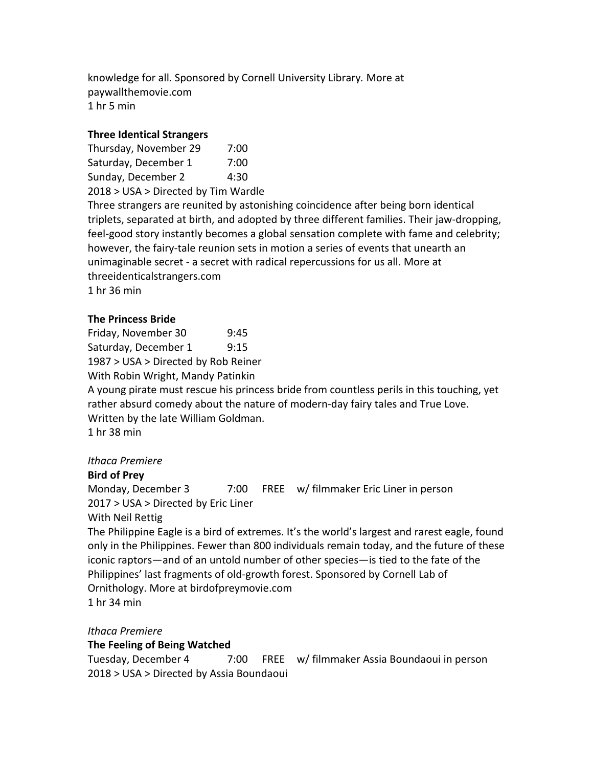knowledge for all. Sponsored by Cornell University Library*.* More at paywallthemovie.com 1 hr 5 min

### **Three Identical Strangers**

Thursday, November 29 7:00 Saturday, December 1 7:00 Sunday, December 2 4:30 2018 > USA > Directed by Tim Wardle Three strangers are reunited by astonishing coincidence after being born identical triplets, separated at birth, and adopted by three different families. Their jaw-dropping, feel-good story instantly becomes a global sensation complete with fame and celebrity; however, the fairy-tale reunion sets in motion a series of events that unearth an unimaginable secret - a secret with radical repercussions for us all. More at threeidenticalstrangers.com 1 hr 36 min

### **The Princess Bride**

Friday, November 30 9:45 Saturday, December 1 9:15 1987 > USA > Directed by Rob Reiner With Robin Wright, Mandy Patinkin

A young pirate must rescue his princess bride from countless perils in this touching, yet rather absurd comedy about the nature of modern-day fairy tales and True Love. Written by the late William Goldman. 1 hr 38 min

#### *Ithaca Premiere*

#### **Bird of Prey**

Monday, December 3 7:00 FREE w/ filmmaker Eric Liner in person 2017 > USA > Directed by Eric Liner

#### With Neil Rettig

The Philippine Eagle is a bird of extremes. It's the world's largest and rarest eagle, found only in the Philippines. Fewer than 800 individuals remain today, and the future of these iconic raptors—and of an untold number of other species—is tied to the fate of the Philippines' last fragments of old-growth forest. Sponsored by Cornell Lab of Ornithology. More at birdofpreymovie.com 1 hr 34 min

*Ithaca Premiere*

#### **The Feeling of Being Watched**

Tuesday, December 4 7:00 FREE w/ filmmaker Assia Boundaoui in person 2018 > USA > Directed by Assia Boundaoui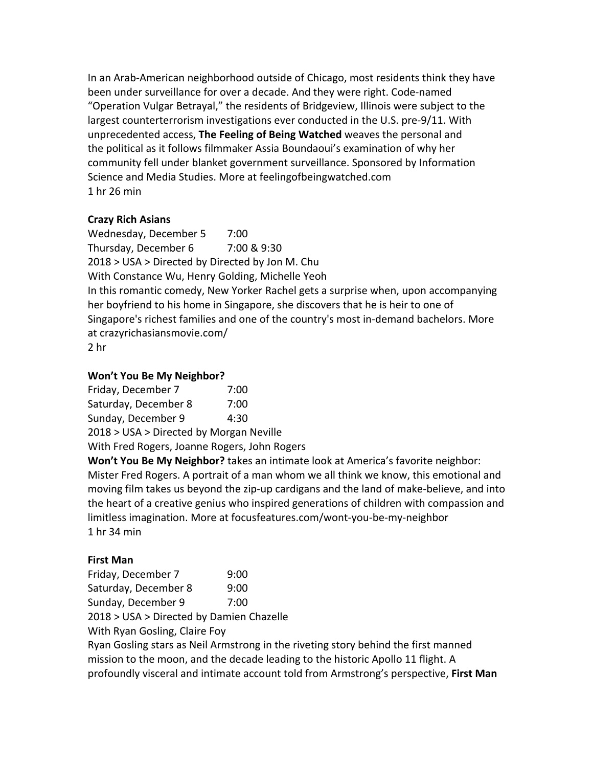In an Arab-American neighborhood outside of Chicago, most residents think they have been under surveillance for over a decade. And they were right. Code-named "Operation Vulgar Betrayal," the residents of Bridgeview, Illinois were subject to the largest counterterrorism investigations ever conducted in the U.S. pre-9/11. With unprecedented access, **The Feeling of Being Watched** weaves the personal and the political as it follows filmmaker Assia Boundaoui's examination of why her community fell under blanket government surveillance. Sponsored by Information Science and Media Studies. More at feelingofbeingwatched.com 1 hr 26 min

## **Crazy Rich Asians**

Wednesday, December 5 7:00 Thursday, December 6 7:00 & 9:30 2018 > USA > Directed by Directed by Jon M. Chu With Constance Wu, Henry Golding, Michelle Yeoh In this romantic comedy, New Yorker Rachel gets a surprise when, upon accompanying her boyfriend to his home in Singapore, she discovers that he is heir to one of Singapore's richest families and one of the country's most in-demand bachelors. More at crazyrichasiansmovie.com/ 2 hr

## **Won't You Be My Neighbor?**

Friday, December 7 7:00 Saturday, December 8 7:00 Sunday, December 9 4:30 2018 > USA > Directed by Morgan Neville

With Fred Rogers, Joanne Rogers, John Rogers

**Won't You Be My Neighbor?** takes an intimate look at America's favorite neighbor: Mister Fred Rogers. A portrait of a man whom we all think we know, this emotional and moving film takes us beyond the zip-up cardigans and the land of make-believe, and into the heart of a creative genius who inspired generations of children with compassion and limitless imagination. More at focusfeatures.com/wont-you-be-my-neighbor 1 hr 34 min

# **First Man**

Friday, December 7 9:00 Saturday, December 8 9:00 Sunday, December 9 7:00 2018 > USA > Directed by Damien Chazelle

With Ryan Gosling, Claire Foy

Ryan Gosling stars as Neil Armstrong in the riveting story behind the first manned mission to the moon, and the decade leading to the historic Apollo 11 flight. A profoundly visceral and intimate account told from Armstrong's perspective, **First Man**